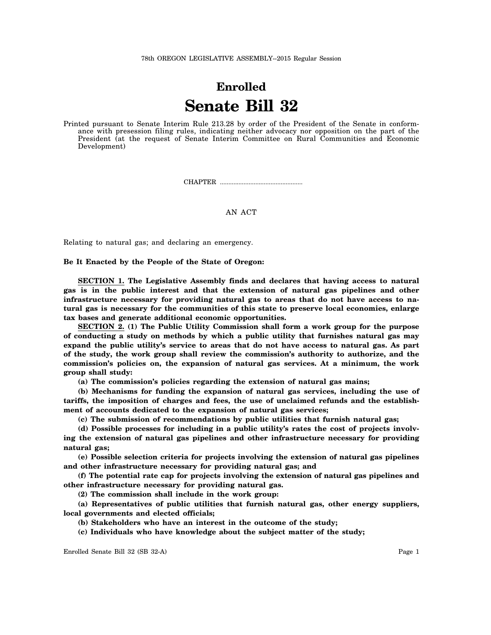## **Enrolled Senate Bill 32**

Printed pursuant to Senate Interim Rule 213.28 by order of the President of the Senate in conformance with presession filing rules, indicating neither advocacy nor opposition on the part of the President (at the request of Senate Interim Committee on Rural Communities and Economic Development)

CHAPTER .................................................

AN ACT

Relating to natural gas; and declaring an emergency.

## **Be It Enacted by the People of the State of Oregon:**

**SECTION 1. The Legislative Assembly finds and declares that having access to natural gas is in the public interest and that the extension of natural gas pipelines and other infrastructure necessary for providing natural gas to areas that do not have access to natural gas is necessary for the communities of this state to preserve local economies, enlarge tax bases and generate additional economic opportunities.**

**SECTION 2. (1) The Public Utility Commission shall form a work group for the purpose of conducting a study on methods by which a public utility that furnishes natural gas may expand the public utility's service to areas that do not have access to natural gas. As part of the study, the work group shall review the commission's authority to authorize, and the commission's policies on, the expansion of natural gas services. At a minimum, the work group shall study:**

**(a) The commission's policies regarding the extension of natural gas mains;**

**(b) Mechanisms for funding the expansion of natural gas services, including the use of tariffs, the imposition of charges and fees, the use of unclaimed refunds and the establishment of accounts dedicated to the expansion of natural gas services;**

**(c) The submission of recommendations by public utilities that furnish natural gas;**

**(d) Possible processes for including in a public utility's rates the cost of projects involving the extension of natural gas pipelines and other infrastructure necessary for providing natural gas;**

**(e) Possible selection criteria for projects involving the extension of natural gas pipelines and other infrastructure necessary for providing natural gas; and**

**(f) The potential rate cap for projects involving the extension of natural gas pipelines and other infrastructure necessary for providing natural gas.**

**(2) The commission shall include in the work group:**

**(a) Representatives of public utilities that furnish natural gas, other energy suppliers, local governments and elected officials;**

**(b) Stakeholders who have an interest in the outcome of the study;**

**(c) Individuals who have knowledge about the subject matter of the study;**

Enrolled Senate Bill 32 (SB 32-A) Page 1